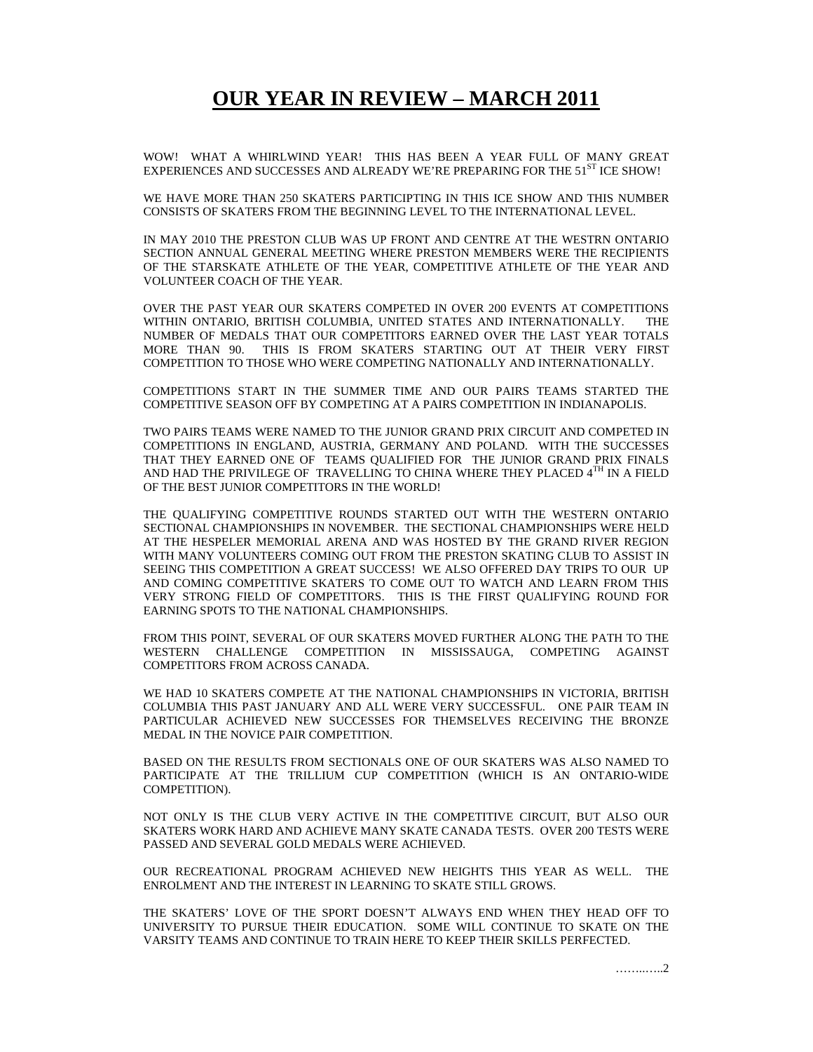## **OUR YEAR IN REVIEW – MARCH 2011**

WOW! WHAT A WHIRLWIND YEAR! THIS HAS BEEN A YEAR FULL OF MANY GREAT EXPERIENCES AND SUCCESSES AND ALREADY WE'RE PREPARING FOR THE 51<sup>ST</sup> ICE SHOW!

WE HAVE MORE THAN 250 SKATERS PARTICIPTING IN THIS ICE SHOW AND THIS NUMBER CONSISTS OF SKATERS FROM THE BEGINNING LEVEL TO THE INTERNATIONAL LEVEL.

IN MAY 2010 THE PRESTON CLUB WAS UP FRONT AND CENTRE AT THE WESTRN ONTARIO SECTION ANNUAL GENERAL MEETING WHERE PRESTON MEMBERS WERE THE RECIPIENTS OF THE STARSKATE ATHLETE OF THE YEAR, COMPETITIVE ATHLETE OF THE YEAR AND VOLUNTEER COACH OF THE YEAR.

OVER THE PAST YEAR OUR SKATERS COMPETED IN OVER 200 EVENTS AT COMPETITIONS WITHIN ONTARIO, BRITISH COLUMBIA, UNITED STATES AND INTERNATIONALLY. THE NUMBER OF MEDALS THAT OUR COMPETITORS EARNED OVER THE LAST YEAR TOTALS MORE THAN 90. THIS IS FROM SKATERS STARTING OUT AT THEIR VERY FIRST COMPETITION TO THOSE WHO WERE COMPETING NATIONALLY AND INTERNATIONALLY.

COMPETITIONS START IN THE SUMMER TIME AND OUR PAIRS TEAMS STARTED THE COMPETITIVE SEASON OFF BY COMPETING AT A PAIRS COMPETITION IN INDIANAPOLIS.

TWO PAIRS TEAMS WERE NAMED TO THE JUNIOR GRAND PRIX CIRCUIT AND COMPETED IN COMPETITIONS IN ENGLAND, AUSTRIA, GERMANY AND POLAND. WITH THE SUCCESSES THAT THEY EARNED ONE OF TEAMS QUALIFIED FOR THE JUNIOR GRAND PRIX FINALS AND HAD THE PRIVILEGE OF TRAVELLING TO CHINA WHERE THEY PLACED  $4^{\text{TH}}$  IN A FIELD OF THE BEST JUNIOR COMPETITORS IN THE WORLD!

THE QUALIFYING COMPETITIVE ROUNDS STARTED OUT WITH THE WESTERN ONTARIO SECTIONAL CHAMPIONSHIPS IN NOVEMBER. THE SECTIONAL CHAMPIONSHIPS WERE HELD AT THE HESPELER MEMORIAL ARENA AND WAS HOSTED BY THE GRAND RIVER REGION WITH MANY VOLUNTEERS COMING OUT FROM THE PRESTON SKATING CLUB TO ASSIST IN SEEING THIS COMPETITION A GREAT SUCCESS! WE ALSO OFFERED DAY TRIPS TO OUR UP AND COMING COMPETITIVE SKATERS TO COME OUT TO WATCH AND LEARN FROM THIS VERY STRONG FIELD OF COMPETITORS. THIS IS THE FIRST QUALIFYING ROUND FOR EARNING SPOTS TO THE NATIONAL CHAMPIONSHIPS.

FROM THIS POINT, SEVERAL OF OUR SKATERS MOVED FURTHER ALONG THE PATH TO THE WESTERN CHALLENGE COMPETITION IN MISSISSAUGA, COMPETING AGAINST COMPETITORS FROM ACROSS CANADA.

WE HAD 10 SKATERS COMPETE AT THE NATIONAL CHAMPIONSHIPS IN VICTORIA, BRITISH COLUMBIA THIS PAST JANUARY AND ALL WERE VERY SUCCESSFUL. ONE PAIR TEAM IN PARTICULAR ACHIEVED NEW SUCCESSES FOR THEMSELVES RECEIVING THE BRONZE MEDAL IN THE NOVICE PAIR COMPETITION.

BASED ON THE RESULTS FROM SECTIONALS ONE OF OUR SKATERS WAS ALSO NAMED TO PARTICIPATE AT THE TRILLIUM CUP COMPETITION (WHICH IS AN ONTARIO-WIDE COMPETITION).

NOT ONLY IS THE CLUB VERY ACTIVE IN THE COMPETITIVE CIRCUIT, BUT ALSO OUR SKATERS WORK HARD AND ACHIEVE MANY SKATE CANADA TESTS. OVER 200 TESTS WERE PASSED AND SEVERAL GOLD MEDALS WERE ACHIEVED.

OUR RECREATIONAL PROGRAM ACHIEVED NEW HEIGHTS THIS YEAR AS WELL. THE ENROLMENT AND THE INTEREST IN LEARNING TO SKATE STILL GROWS.

THE SKATERS' LOVE OF THE SPORT DOESN'T ALWAYS END WHEN THEY HEAD OFF TO UNIVERSITY TO PURSUE THEIR EDUCATION. SOME WILL CONTINUE TO SKATE ON THE VARSITY TEAMS AND CONTINUE TO TRAIN HERE TO KEEP THEIR SKILLS PERFECTED.

……..…..2